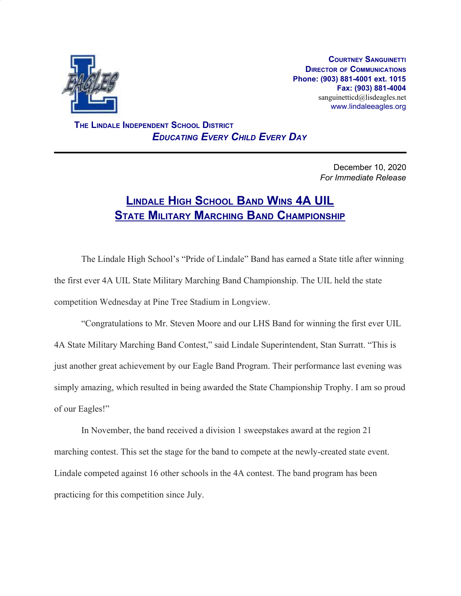

**COURTNEY SANGUINETTI DIRECTOR OF COMMUNICATIONS Phone: (903) 881-4001 ext. 1015 Fax: (903) 881-4004** sanguinetticd@lisdeagles.net www.lindaleeagles.org

 **THE LINDALE INDEPENDENT SCHOOL DISTRICT** *EDUCATING EVERY CHILD EVERY DAY*

> December 10, 2020 *For Immediate Release*

## **LINDALE HIGH SCHOOL BAND WINS 4A UIL STATE MILITARY MARCHING BAND CHAMPIONSHIP**

The Lindale High School's "Pride of Lindale" Band has earned a State title after winning the first ever 4A UIL State Military Marching Band Championship. The UIL held the state competition Wednesday at Pine Tree Stadium in Longview.

"Congratulations to Mr. Steven Moore and our LHS Band for winning the first ever UIL 4A State Military Marching Band Contest," said Lindale Superintendent, Stan Surratt. "This is just another great achievement by our Eagle Band Program. Their performance last evening was simply amazing, which resulted in being awarded the State Championship Trophy. I am so proud of our Eagles!"

In November, the band received a division 1 sweepstakes award at the region 21 marching contest. This set the stage for the band to compete at the newly-created state event. Lindale competed against 16 other schools in the 4A contest. The band program has been practicing for this competition since July.